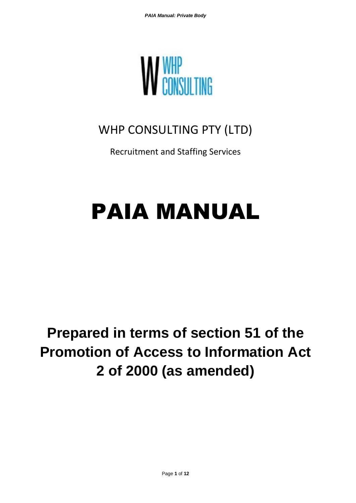

# WHP CONSULTING PTY (LTD)

Recruitment and Staffing Services

# PAIA MANUAL

# **Prepared in terms of section 51 of the Promotion of Access to Information Act 2 of 2000 (as amended)**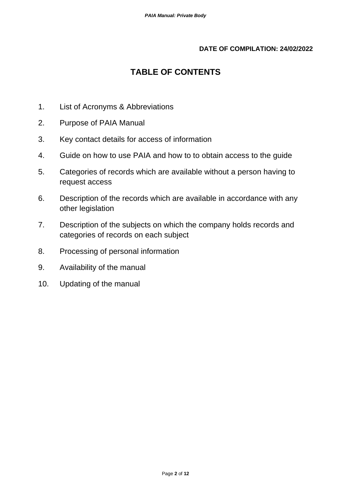### **DATE OF COMPILATION: 24/02/2022**

# **TABLE OF CONTENTS**

- 1. List of Acronyms & Abbreviations
- 2. Purpose of PAIA Manual
- 3. Key contact details for access of information
- 4. Guide on how to use PAIA and how to to obtain access to the guide
- 5. Categories of records which are available without a person having to request access
- 6. Description of the records which are available in accordance with any other legislation
- 7. Description of the subjects on which the company holds records and categories of records on each subject
- 8. Processing of personal information
- 9. Availability of the manual
- 10. Updating of the manual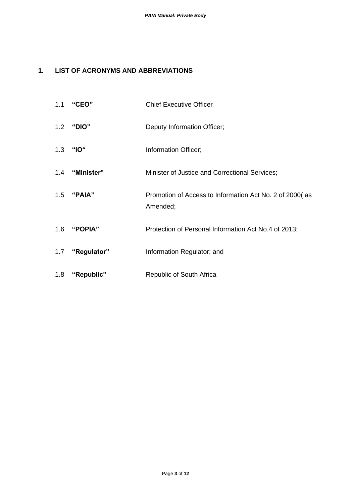# **1. LIST OF ACRONYMS AND ABBREVIATIONS**

| 1.1 | "CEO"           | <b>Chief Executive Officer</b>                                      |
|-----|-----------------|---------------------------------------------------------------------|
|     | 1.2 "DIO"       | Deputy Information Officer;                                         |
| 1.3 | "IO"            | Information Officer;                                                |
|     | 1.4 "Minister"  | Minister of Justice and Correctional Services;                      |
|     | 1.5 "PAIA"      | Promotion of Access to Information Act No. 2 of 2000(as<br>Amended; |
|     | 1.6 "POPIA"     | Protection of Personal Information Act No.4 of 2013;                |
|     | 1.7 "Regulator" | Information Regulator; and                                          |
| 1.8 | "Republic"      | Republic of South Africa                                            |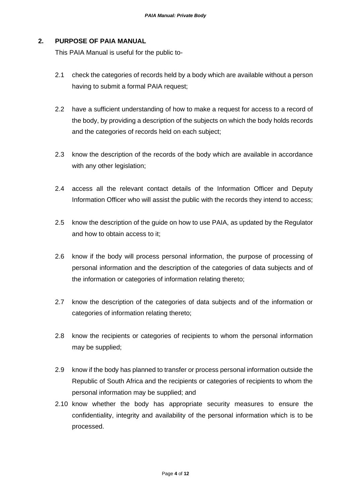#### **2. PURPOSE OF PAIA MANUAL**

This PAIA Manual is useful for the public to-

- 2.1 check the categories of records held by a body which are available without a person having to submit a formal PAIA request;
- 2.2 have a sufficient understanding of how to make a request for access to a record of the body, by providing a description of the subjects on which the body holds records and the categories of records held on each subject;
- 2.3 know the description of the records of the body which are available in accordance with any other legislation;
- 2.4 access all the relevant contact details of the Information Officer and Deputy Information Officer who will assist the public with the records they intend to access;
- 2.5 know the description of the guide on how to use PAIA, as updated by the Regulator and how to obtain access to it;
- 2.6 know if the body will process personal information, the purpose of processing of personal information and the description of the categories of data subjects and of the information or categories of information relating thereto;
- 2.7 know the description of the categories of data subjects and of the information or categories of information relating thereto;
- 2.8 know the recipients or categories of recipients to whom the personal information may be supplied;
- 2.9 know if the body has planned to transfer or process personal information outside the Republic of South Africa and the recipients or categories of recipients to whom the personal information may be supplied; and
- 2.10 know whether the body has appropriate security measures to ensure the confidentiality, integrity and availability of the personal information which is to be processed.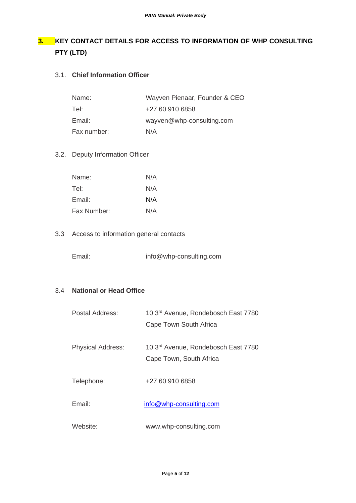# **3. KEY CONTACT DETAILS FOR ACCESS TO INFORMATION OF WHP CONSULTING PTY (LTD)**

### 3.1. **Chief Information Officer**

| Name:       | Wayven Pienaar, Founder & CEO |
|-------------|-------------------------------|
| Tel:        | +27 60 910 6858               |
| Email:      | wayven@whp-consulting.com     |
| Fax number: | N/A                           |

## 3.2. Deputy Information Officer

| Name:       | N/A |
|-------------|-----|
| Tel:        | N/A |
| Email:      | N/A |
| Fax Number: | N/A |

## 3.3 Access to information general contacts

Email: info@whp-consulting.com

#### 3.4 **National or Head Office**

| Postal Address:          | 10 3 <sup>rd</sup> Avenue, Rondebosch East 7780 |
|--------------------------|-------------------------------------------------|
|                          | Cape Town South Africa                          |
|                          |                                                 |
| <b>Physical Address:</b> | 10 3 <sup>rd</sup> Avenue, Rondebosch East 7780 |
|                          | Cape Town, South Africa                         |
|                          |                                                 |
| Telephone:               | +27 60 910 6858                                 |
| Fmail:                   | info@whp-consulting.com                         |
| Website:                 | www.whp-consulting.com                          |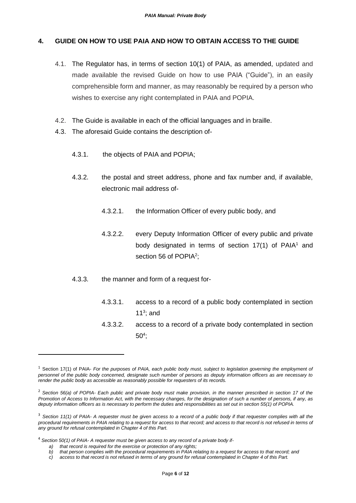#### **4. GUIDE ON HOW TO USE PAIA AND HOW TO OBTAIN ACCESS TO THE GUIDE**

- 4.1. The Regulator has, in terms of section 10(1) of PAIA, as amended, updated and made available the revised Guide on how to use PAIA ("Guide"), in an easily comprehensible form and manner, as may reasonably be required by a person who wishes to exercise any right contemplated in PAIA and POPIA.
- 4.2. The Guide is available in each of the official languages and in braille.
- 4.3. The aforesaid Guide contains the description of-
	- 4.3.1. the objects of PAIA and POPIA;
	- 4.3.2. the postal and street address, phone and fax number and, if available, electronic mail address of-
		- 4.3.2.1. the Information Officer of every public body, and
		- 4.3.2.2. every Deputy Information Officer of every public and private body designated in terms of section  $17(1)$  of PAIA<sup>1</sup> and section 56 of POPIA<sup>2</sup>;
	- 4.3.3. the manner and form of a request for-
		- 4.3.3.1. access to a record of a public body contemplated in section 11 $3$ ; and
		- 4.3.3.2. access to a record of a private body contemplated in section  $50<sup>4</sup>$ ;

<sup>1</sup> Section 17(1) of PAIA- *For the purposes of PAIA, each public body must, subject to legislation governing the employment of personnel of the public body concerned, designate such number of persons as deputy information officers as are necessary to render the public body as accessible as reasonably possible for requesters of its records.* 

<sup>2</sup> *Section 56(a) of POPIA- Each public and private body must make provision, in the manner prescribed in section 17 of the Promotion of Access to Information Act, with the necessary changes, for the designation of such a number of persons, if any, as deputy information officers as is necessary to perform the duties and responsibilities as set out in section 55(1) of POPIA.*

<sup>3</sup> *Section 11(1) of PAIA- A requester must be given access to a record of a public body if that requester complies with all the procedural requirements in PAIA relating to a request for access to that record; and access to that record is not refused in terms of any ground for refusal contemplated in Chapter 4 of this Part.*

<sup>4</sup> *Section 50(1) of PAIA- A requester must be given access to any record of a private body if-*

*a) that record is required for the exercise or protection of any rights;*

*b) that person complies with the procedural requirements in PAIA relating to a request for access to that record; and*

*c) access to that record is not refused in terms of any ground for refusal contemplated in Chapter 4 of this Part.*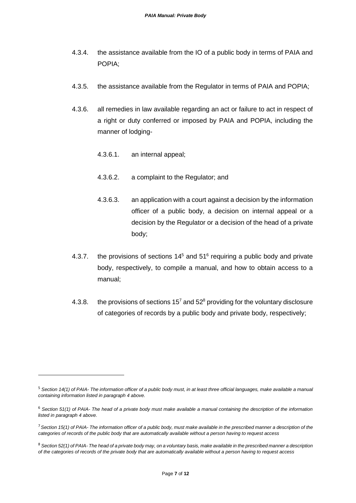- 4.3.4. the assistance available from the IO of a public body in terms of PAIA and POPIA;
- 4.3.5. the assistance available from the Regulator in terms of PAIA and POPIA;
- 4.3.6. all remedies in law available regarding an act or failure to act in respect of a right or duty conferred or imposed by PAIA and POPIA, including the manner of lodging-
	- 4.3.6.1. an internal appeal;
	- 4.3.6.2. a complaint to the Regulator; and
	- 4.3.6.3. an application with a court against a decision by the information officer of a public body, a decision on internal appeal or a decision by the Regulator or a decision of the head of a private body;
- 4.3.7. the provisions of sections  $14<sup>5</sup>$  and  $51<sup>6</sup>$  requiring a public body and private body, respectively, to compile a manual, and how to obtain access to a manual;
- 4.3.8. the provisions of sections  $15<sup>7</sup>$  and  $52<sup>8</sup>$  providing for the voluntary disclosure of categories of records by a public body and private body, respectively;

<sup>5</sup> *Section 14(1) of PAIA- The information officer of a public body must, in at least three official languages, make available a manual containing information listed in paragraph 4 above.*

<sup>6</sup> *Section 51(1) of PAIA- The head of a private body must make available a manual containing the description of the information listed in paragraph 4 above.*

<sup>7</sup>*Section 15(1) of PAIA- The information officer of a public body, must make available in the prescribed manner a description of the categories of records of the public body that are automatically available without a person having to request access*

<sup>8</sup> *Section 52(1) of PAIA- The head of a private body may, on a voluntary basis, make available in the prescribed manner a description of the categories of records of the private body that are automatically available without a person having to request access*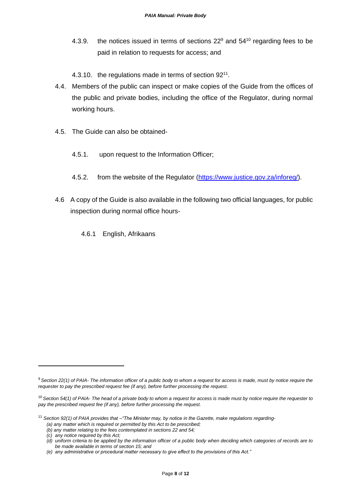- 4.3.9. the notices issued in terms of sections  $22^9$  and  $54^{10}$  regarding fees to be paid in relation to requests for access; and
- 4.3.10. the regulations made in terms of section 92<sup>11</sup>.
- 4.4. Members of the public can inspect or make copies of the Guide from the offices of the public and private bodies, including the office of the Regulator, during normal working hours.
- 4.5. The Guide can also be obtained-
	- 4.5.1. upon request to the Information Officer;
	- 4.5.2. from the website of the Regulator [\(https://www.justice.gov.za/inforeg/\)](https://www.justice.gov.za/inforeg/).
- 4.6 A copy of the Guide is also available in the following two official languages, for public inspection during normal office hours-
	- 4.6.1 English, Afrikaans

<sup>9</sup> *Section 22(1) of PAIA- The information officer of a public body to whom a request for access is made, must by notice require the requester to pay the prescribed request fee (if any), before further processing the request.*

<sup>10</sup> *Section 54(1) of PAIA- The head of a private body to whom a request for access is made must by notice require the requester to pay the prescribed request fee (if any), before further processing the request.*

<sup>11</sup> *Section 92(1) of PAIA provides that –"The Minister may, by notice in the Gazette, make regulations regarding- (a) any matter which is required or permitted by this Act to be prescribed;*

*<sup>(</sup>b) any matter relating to the fees contemplated in sections 22 and 54;*

*<sup>(</sup>c) any notice required by this Act;*

*<sup>(</sup>d) uniform criteria to be applied by the information officer of a public body when deciding which categories of records are to be made available in terms of section 15; and*

*<sup>(</sup>e) any administrative or procedural matter necessary to give effect to the provisions of this Act."*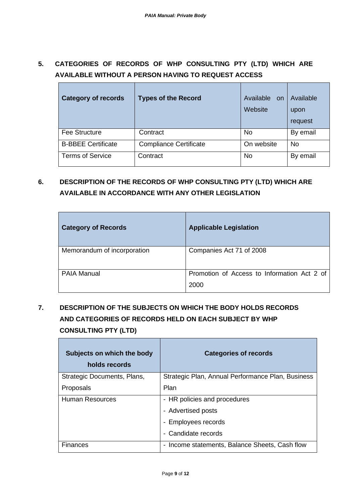# **5. CATEGORIES OF RECORDS OF WHP CONSULTING PTY (LTD) WHICH ARE AVAILABLE WITHOUT A PERSON HAVING TO REQUEST ACCESS**

| <b>Category of records</b> | <b>Types of the Record</b>    | Available on<br>Website | Available<br>upon<br>request |
|----------------------------|-------------------------------|-------------------------|------------------------------|
| Fee Structure              | Contract                      | <b>No</b>               | By email                     |
| <b>B-BBEE Certificate</b>  | <b>Compliance Certificate</b> | On website              | No.                          |
| <b>Terms of Service</b>    | Contract                      | <b>No</b>               | By email                     |

# **6. DESCRIPTION OF THE RECORDS OF WHP CONSULTING PTY (LTD) WHICH ARE AVAILABLE IN ACCORDANCE WITH ANY OTHER LEGISLATION**

| <b>Category of Records</b>  | <b>Applicable Legislation</b>                       |
|-----------------------------|-----------------------------------------------------|
| Memorandum of incorporation | Companies Act 71 of 2008                            |
| <b>PAIA Manual</b>          | Promotion of Access to Information Act 2 of<br>2000 |

# **7. DESCRIPTION OF THE SUBJECTS ON WHICH THE BODY HOLDS RECORDS AND CATEGORIES OF RECORDS HELD ON EACH SUBJECT BY WHP CONSULTING PTY (LTD)**

| Subjects on which the body<br>holds records | <b>Categories of records</b>                      |
|---------------------------------------------|---------------------------------------------------|
| Strategic Documents, Plans,                 | Strategic Plan, Annual Performance Plan, Business |
| Proposals                                   | Plan                                              |
| Human Resources                             | - HR policies and procedures                      |
|                                             | - Advertised posts                                |
|                                             | - Employees records                               |
|                                             | - Candidate records                               |
| Finances                                    | - Income statements, Balance Sheets, Cash flow    |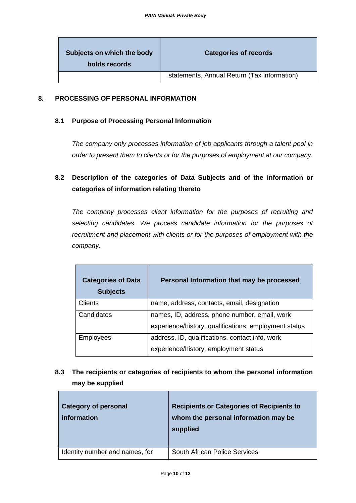| Subjects on which the body<br>holds records | <b>Categories of records</b>                |
|---------------------------------------------|---------------------------------------------|
|                                             | statements, Annual Return (Tax information) |

#### **8. PROCESSING OF PERSONAL INFORMATION**

#### **8.1 Purpose of Processing Personal Information**

*The company only processes information of job applicants through a talent pool in order to present them to clients or for the purposes of employment at our company.*

# **8.2 Description of the categories of Data Subjects and of the information or categories of information relating thereto**

*The company processes client information for the purposes of recruiting and selecting candidates. We process candidate information for the purposes of recruitment and placement with clients or for the purposes of employment with the company.*

| <b>Categories of Data</b><br><b>Subjects</b> | Personal Information that may be processed            |  |
|----------------------------------------------|-------------------------------------------------------|--|
| <b>Clients</b>                               | name, address, contacts, email, designation           |  |
| Candidates                                   | names, ID, address, phone number, email, work         |  |
|                                              | experience/history, qualifications, employment status |  |
| <b>Employees</b>                             | address, ID, qualifications, contact info, work       |  |
|                                              | experience/history, employment status                 |  |

# **8.3 The recipients or categories of recipients to whom the personal information may be supplied**

| <b>Category of personal</b><br>information | <b>Recipients or Categories of Recipients to</b><br>whom the personal information may be<br>supplied |
|--------------------------------------------|------------------------------------------------------------------------------------------------------|
| Identity number and names, for             | <b>South African Police Services</b>                                                                 |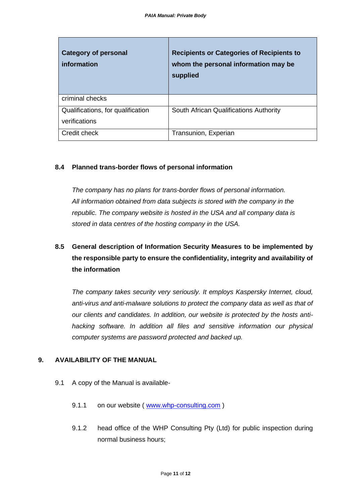| <b>Category of personal</b><br>information         | <b>Recipients or Categories of Recipients to</b><br>whom the personal information may be<br>supplied |
|----------------------------------------------------|------------------------------------------------------------------------------------------------------|
| criminal checks                                    |                                                                                                      |
| Qualifications, for qualification<br>verifications | South African Qualifications Authority                                                               |
| Credit check                                       | Transunion, Experian                                                                                 |

#### **8.4 Planned trans-border flows of personal information**

*The company has no plans for trans-border flows of personal information. All information obtained from data subjects is stored with the company in the republic. The company website is hosted in the USA and all company data is stored in data centres of the hosting company in the USA.* 

# **8.5 General description of Information Security Measures to be implemented by the responsible party to ensure the confidentiality, integrity and availability of the information**

*The company takes security very seriously. It employs Kaspersky Internet, cloud, anti-virus and anti-malware solutions to protect the company data as well as that of our clients and candidates. In addition, our website is protected by the hosts antihacking software. In addition all files and sensitive information our physical computer systems are password protected and backed up.* 

### **9. AVAILABILITY OF THE MANUAL**

- 9.1 A copy of the Manual is available
	- 9.1.1 on our website ([www.whp-consulting.com](http://www.whp-consulting.com/))
	- 9.1.2 head office of the WHP Consulting Pty (Ltd) for public inspection during normal business hours;